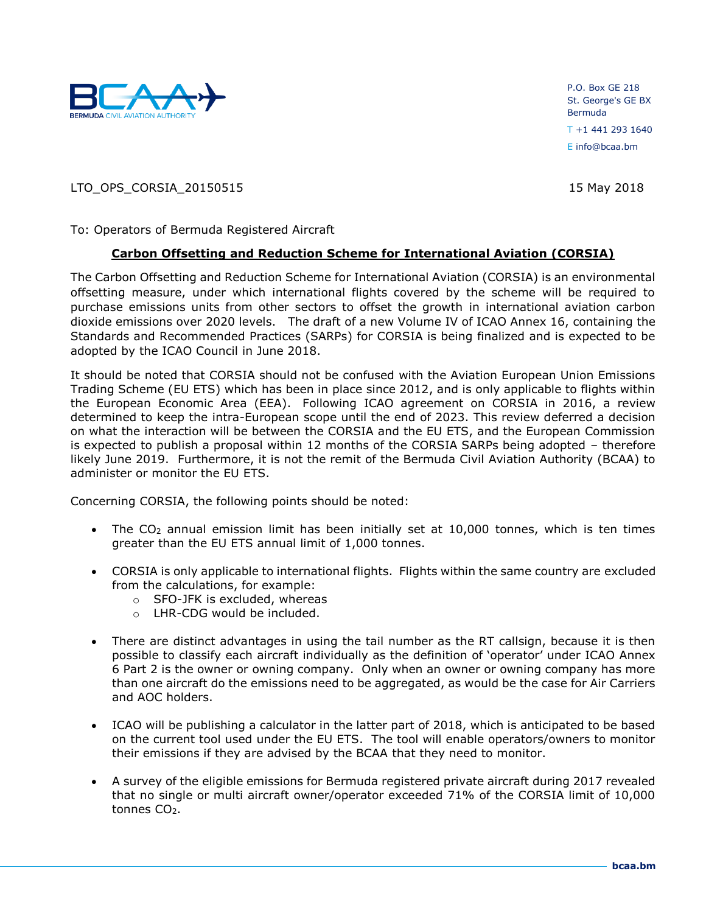

P.O. Box GE 218 St. George's GE BX Bermuda T +1 441 293 1640 E info@bcaa.bm

LTO\_OPS\_CORSIA\_20150515 15 May 2018

To: Operators of Bermuda Registered Aircraft

## **Carbon Offsetting and Reduction Scheme for International Aviation (CORSIA)**

The Carbon Offsetting and Reduction Scheme for International Aviation (CORSIA) is an environmental offsetting measure, under which international flights covered by the scheme will be required to purchase emissions units from other sectors to offset the growth in international aviation carbon dioxide emissions over 2020 levels. The draft of a new Volume IV of ICAO Annex 16, containing the Standards and Recommended Practices (SARPs) for CORSIA is being finalized and is expected to be adopted by the ICAO Council in June 2018.

It should be noted that CORSIA should not be confused with the Aviation European Union Emissions Trading Scheme (EU ETS) which has been in place since 2012, and is only applicable to flights within the European Economic Area (EEA). Following ICAO agreement on CORSIA in 2016, a review determined to keep the intra-European scope until the end of 2023. This review deferred a decision on what the interaction will be between the CORSIA and the EU ETS, and the European Commission is expected to publish a proposal within 12 months of the CORSIA SARPs being adopted – therefore likely June 2019. Furthermore, it is not the remit of the Bermuda Civil Aviation Authority (BCAA) to administer or monitor the EU ETS.

Concerning CORSIA, the following points should be noted:

- The  $CO<sub>2</sub>$  annual emission limit has been initially set at 10,000 tonnes, which is ten times greater than the EU ETS annual limit of 1,000 tonnes.
- CORSIA is only applicable to international flights. Flights within the same country are excluded from the calculations, for example:
	- o SFO-JFK is excluded, whereas
	- o LHR-CDG would be included.
- There are distinct advantages in using the tail number as the RT callsign, because it is then possible to classify each aircraft individually as the definition of 'operator' under ICAO Annex 6 Part 2 is the owner or owning company. Only when an owner or owning company has more than one aircraft do the emissions need to be aggregated, as would be the case for Air Carriers and AOC holders.
- ICAO will be publishing a calculator in the latter part of 2018, which is anticipated to be based on the current tool used under the EU ETS. The tool will enable operators/owners to monitor their emissions if they are advised by the BCAA that they need to monitor.
- A survey of the eligible emissions for Bermuda registered private aircraft during 2017 revealed that no single or multi aircraft owner/operator exceeded 71% of the CORSIA limit of 10,000 tonnes CO<sub>2</sub>.